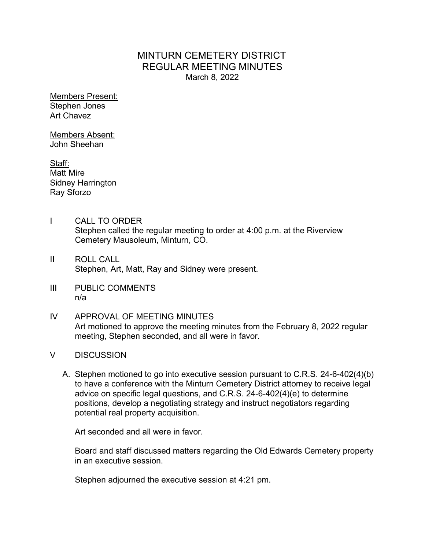## MINTURN CEMETERY DISTRICT REGULAR MEETING MINUTES March 8, 2022

Members Present: Stephen Jones Art Chavez

Members Absent: John Sheehan

Staff: Matt Mire Sidney Harrington Ray Sforzo

- I CALL TO ORDER Stephen called the regular meeting to order at 4:00 p.m. at the Riverview Cemetery Mausoleum, Minturn, CO.
- II ROLL CALL Stephen, Art, Matt, Ray and Sidney were present.
- III PUBLIC COMMENTS n/a
- IV APPROVAL OF MEETING MINUTES Art motioned to approve the meeting minutes from the February 8, 2022 regular meeting, Stephen seconded, and all were in favor.
- V DISCUSSION
	- A. Stephen motioned to go into executive session pursuant to C.R.S. 24-6-402(4)(b) to have a conference with the Minturn Cemetery District attorney to receive legal advice on specific legal questions, and C.R.S. 24-6-402(4)(e) to determine positions, develop a negotiating strategy and instruct negotiators regarding potential real property acquisition.

Art seconded and all were in favor.

Board and staff discussed matters regarding the Old Edwards Cemetery property in an executive session.

Stephen adjourned the executive session at 4:21 pm.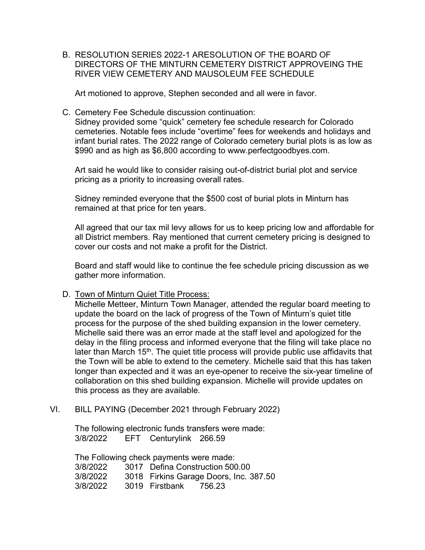B. RESOLUTION SERIES 2022-1 ARESOLUTION OF THE BOARD OF DIRECTORS OF THE MINTURN CEMETERY DISTRICT APPROVEING THE RIVER VIEW CEMETERY AND MAUSOLEUM FEE SCHEDULE

Art motioned to approve, Stephen seconded and all were in favor.

C. Cemetery Fee Schedule discussion continuation:

Sidney provided some "quick" cemetery fee schedule research for Colorado cemeteries. Notable fees include "overtime" fees for weekends and holidays and infant burial rates. The 2022 range of Colorado cemetery burial plots is as low as \$990 and as high as \$6,800 according to www.perfectgoodbyes.com.

Art said he would like to consider raising out-of-district burial plot and service pricing as a priority to increasing overall rates.

Sidney reminded everyone that the \$500 cost of burial plots in Minturn has remained at that price for ten years.

All agreed that our tax mil levy allows for us to keep pricing low and affordable for all District members. Ray mentioned that current cemetery pricing is designed to cover our costs and not make a profit for the District.

Board and staff would like to continue the fee schedule pricing discussion as we gather more information.

D. Town of Minturn Quiet Title Process:

Michelle Metteer, Minturn Town Manager, attended the regular board meeting to update the board on the lack of progress of the Town of Minturn's quiet title process for the purpose of the shed building expansion in the lower cemetery. Michelle said there was an error made at the staff level and apologized for the delay in the filing process and informed everyone that the filing will take place no later than March 15<sup>th</sup>. The quiet title process will provide public use affidavits that the Town will be able to extend to the cemetery. Michelle said that this has taken longer than expected and it was an eye-opener to receive the six-year timeline of collaboration on this shed building expansion. Michelle will provide updates on this process as they are available.

VI. BILL PAYING (December 2021 through February 2022)

The following electronic funds transfers were made: 3/8/2022 EFT Centurylink 266.59

The Following check payments were made: 3/8/2022 3017 Defina Construction 500.00 3/8/2022 3018 Firkins Garage Doors, Inc. 387.50 3/8/2022 3019 Firstbank 756.23